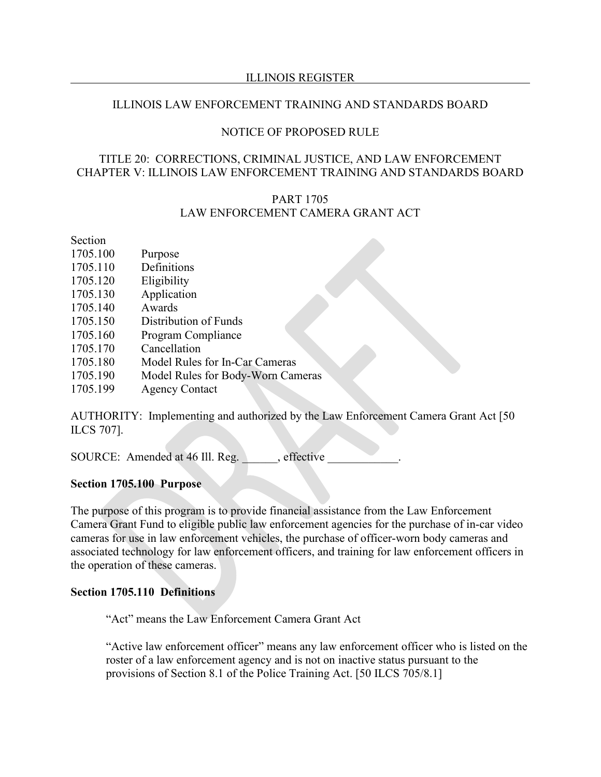#### ILLINOIS REGISTER

### ILLINOIS LAW ENFORCEMENT TRAINING AND STANDARDS BOARD

### NOTICE OF PROPOSED RULE

### TITLE 20: CORRECTIONS, CRIMINAL JUSTICE, AND LAW ENFORCEMENT CHAPTER V: ILLINOIS LAW ENFORCEMENT TRAINING AND STANDARDS BOARD

# PART 1705 LAW ENFORCEMENT CAMERA GRANT ACT

### Section

- 1705.100 Purpose
- 1705.110 Definitions
- 1705.120 Eligibility
- 1705.130 Application
- 1705.140 Awards
- 1705.150 Distribution of Funds
- 1705.160 Program Compliance
- 1705.170 Cancellation
- 1705.180 Model Rules for In-Car Cameras
- 1705.190 Model Rules for Body-Worn Cameras
- 1705.199 Agency Contact

AUTHORITY: Implementing and authorized by the Law Enforcement Camera Grant Act [50 ILCS 707].

SOURCE: Amended at 46 Ill. Reg. effective

#### **Section 1705.100 Purpose**

The purpose of this program is to provide financial assistance from the Law Enforcement Camera Grant Fund to eligible public law enforcement agencies for the purchase of in-car video cameras for use in law enforcement vehicles, the purchase of officer-worn body cameras and associated technology for law enforcement officers, and training for law enforcement officers in the operation of these cameras.

#### **Section 1705.110 Definitions**

"Act" means the Law Enforcement Camera Grant Act

"Active law enforcement officer" means any law enforcement officer who is listed on the roster of a law enforcement agency and is not on inactive status pursuant to the provisions of Section 8.1 of the Police Training Act. [50 ILCS 705/8.1]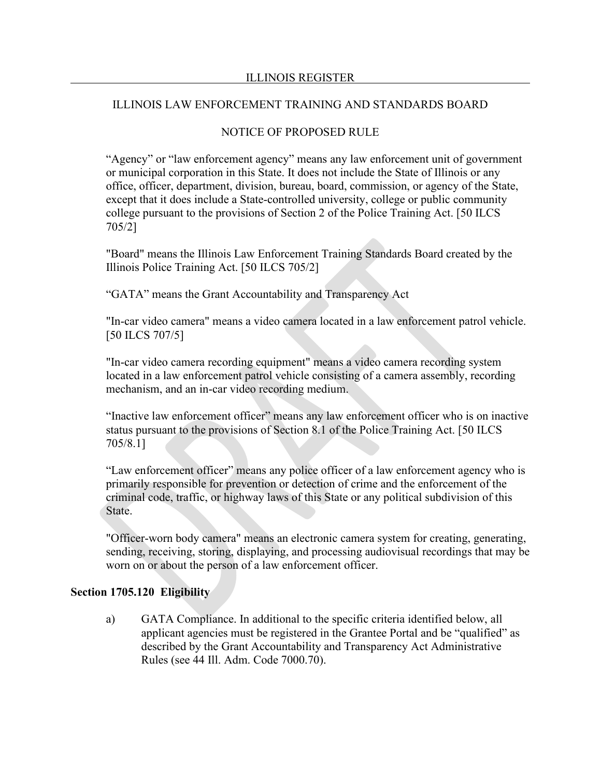# NOTICE OF PROPOSED RULE

"Agency" or "law enforcement agency" means any law enforcement unit of government or municipal corporation in this State. It does not include the State of Illinois or any office, officer, department, division, bureau, board, commission, or agency of the State, except that it does include a State-controlled university, college or public community college pursuant to the provisions of Section 2 of the Police Training Act. [50 ILCS 705/2]

"Board" means the Illinois Law Enforcement Training Standards Board created by the Illinois Police Training Act. [50 ILCS 705/2]

"GATA" means the Grant Accountability and Transparency Act

"In-car video camera" means a video camera located in a law enforcement patrol vehicle. [50 ILCS 707/5]

"In-car video camera recording equipment" means a video camera recording system located in a law enforcement patrol vehicle consisting of a camera assembly, recording mechanism, and an in-car video recording medium.

"Inactive law enforcement officer" means any law enforcement officer who is on inactive status pursuant to the provisions of Section 8.1 of the Police Training Act. [50 ILCS 705/8.1]

"Law enforcement officer" means any police officer of a law enforcement agency who is primarily responsible for prevention or detection of crime and the enforcement of the criminal code, traffic, or highway laws of this State or any political subdivision of this State.

"Officer-worn body camera" means an electronic camera system for creating, generating, sending, receiving, storing, displaying, and processing audiovisual recordings that may be worn on or about the person of a law enforcement officer.

#### **Section 1705.120 Eligibility**

a) GATA Compliance. In additional to the specific criteria identified below, all applicant agencies must be registered in the Grantee Portal and be "qualified" as described by the Grant Accountability and Transparency Act Administrative Rules (see 44 Ill. Adm. Code 7000.70).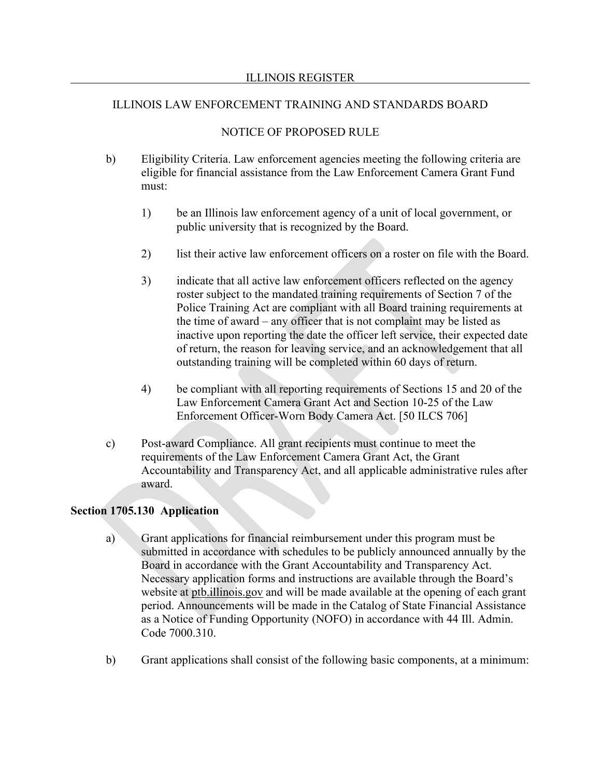# NOTICE OF PROPOSED RULE

- b) Eligibility Criteria. Law enforcement agencies meeting the following criteria are eligible for financial assistance from the Law Enforcement Camera Grant Fund must:
	- 1) be an Illinois law enforcement agency of a unit of local government, or public university that is recognized by the Board.
	- 2) list their active law enforcement officers on a roster on file with the Board.
	- 3) indicate that all active law enforcement officers reflected on the agency roster subject to the mandated training requirements of Section 7 of the Police Training Act are compliant with all Board training requirements at the time of award – any officer that is not complaint may be listed as inactive upon reporting the date the officer left service, their expected date of return, the reason for leaving service, and an acknowledgement that all outstanding training will be completed within 60 days of return.
	- 4) be compliant with all reporting requirements of Sections 15 and 20 of the Law Enforcement Camera Grant Act and Section 10-25 of the Law Enforcement Officer-Worn Body Camera Act. [50 ILCS 706]
- c) Post-award Compliance. All grant recipients must continue to meet the requirements of the Law Enforcement Camera Grant Act, the Grant Accountability and Transparency Act, and all applicable administrative rules after award.

# **Section 1705.130 Application**

- a) Grant applications for financial reimbursement under this program must be submitted in accordance with schedules to be publicly announced annually by the Board in accordance with the Grant Accountability and Transparency Act. Necessary application forms and instructions are available through the Board's website at ptb.illinois.gov and will be made available at the opening of each grant period. Announcements will be made in the Catalog of State Financial Assistance as a Notice of Funding Opportunity (NOFO) in accordance with 44 Ill. Admin. Code 7000.310.
- b) Grant applications shall consist of the following basic components, at a minimum: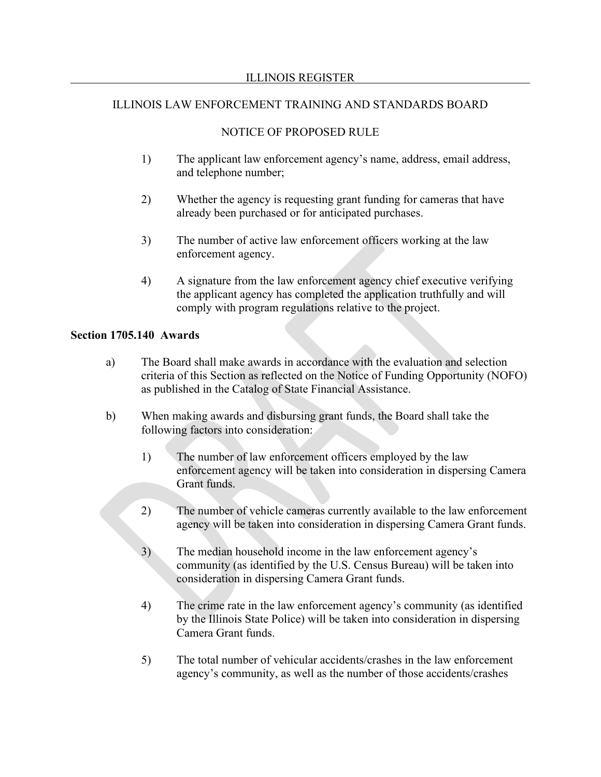### NOTICE OF PROPOSED RULE

- 1) The applicant law enforcement agency's name, address, email address, and telephone number;
- 2) Whether the agency is requesting grant funding for cameras that have already been purchased or for anticipated purchases.
- 3) The number of active law enforcement officers working at the law enforcement agency.
- 4) A signature from the law enforcement agency chief executive verifying the applicant agency has completed the application truthfully and will comply with program regulations relative to the project.

#### **Section 1705.140 Awards**

- a) The Board shall make awards in accordance with the evaluation and selection criteria of this Section as reflected on the Notice of Funding Opportunity (NOFO) as published in the Catalog of State Financial Assistance.
- b) When making awards and disbursing grant funds, the Board shall take the following factors into consideration:
	- 1) The number of law enforcement officers employed by the law enforcement agency will be taken into consideration in dispersing Camera Grant funds.
	- 2) The number of vehicle cameras currently available to the law enforcement agency will be taken into consideration in dispersing Camera Grant funds.
	- 3) The median household income in the law enforcement agency's community (as identified by the U.S. Census Bureau) will be taken into consideration in dispersing Camera Grant funds.
	- 4) The crime rate in the law enforcement agency's community (as identified by the Illinois State Police) will be taken into consideration in dispersing Camera Grant funds.
	- 5) The total number of vehicular accidents/crashes in the law enforcement agency's community, as well as the number of those accidents/crashes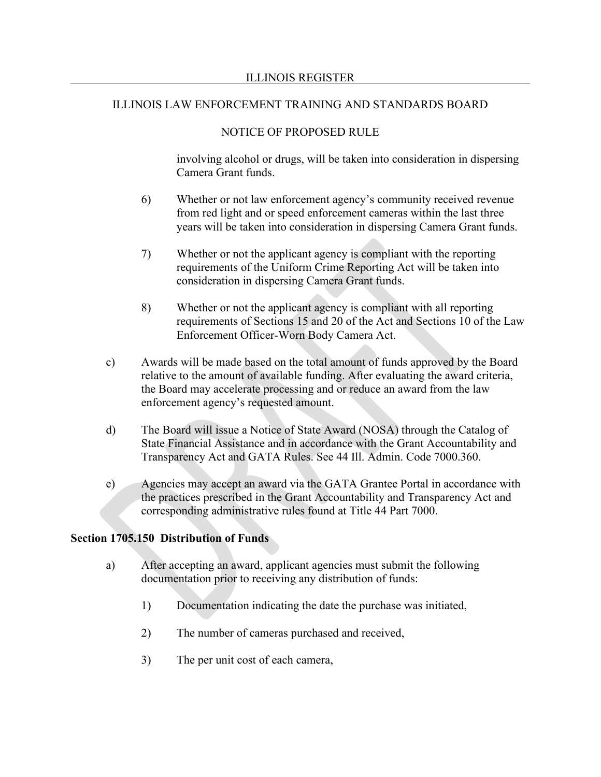## NOTICE OF PROPOSED RULE

involving alcohol or drugs, will be taken into consideration in dispersing Camera Grant funds.

- 6) Whether or not law enforcement agency's community received revenue from red light and or speed enforcement cameras within the last three years will be taken into consideration in dispersing Camera Grant funds.
- 7) Whether or not the applicant agency is compliant with the reporting requirements of the Uniform Crime Reporting Act will be taken into consideration in dispersing Camera Grant funds.
- 8) Whether or not the applicant agency is compliant with all reporting requirements of Sections 15 and 20 of the Act and Sections 10 of the Law Enforcement Officer-Worn Body Camera Act.
- c) Awards will be made based on the total amount of funds approved by the Board relative to the amount of available funding. After evaluating the award criteria, the Board may accelerate processing and or reduce an award from the law enforcement agency's requested amount.
- d) The Board will issue a Notice of State Award (NOSA) through the Catalog of State Financial Assistance and in accordance with the Grant Accountability and Transparency Act and GATA Rules. See 44 Ill. Admin. Code 7000.360.
- e) Agencies may accept an award via the GATA Grantee Portal in accordance with the practices prescribed in the Grant Accountability and Transparency Act and corresponding administrative rules found at Title 44 Part 7000.

#### **Section 1705.150 Distribution of Funds**

- a) After accepting an award, applicant agencies must submit the following documentation prior to receiving any distribution of funds:
	- 1) Documentation indicating the date the purchase was initiated,
	- 2) The number of cameras purchased and received,
	- 3) The per unit cost of each camera,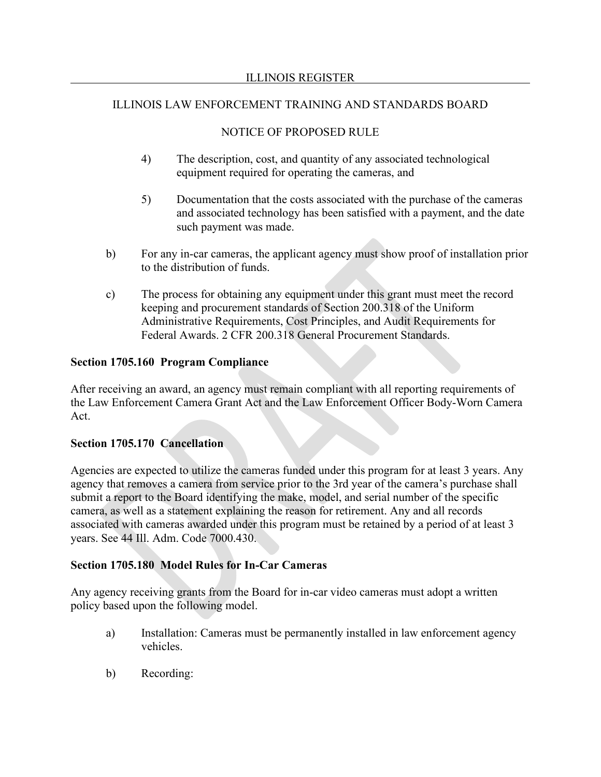# NOTICE OF PROPOSED RULE

- 4) The description, cost, and quantity of any associated technological equipment required for operating the cameras, and
- 5) Documentation that the costs associated with the purchase of the cameras and associated technology has been satisfied with a payment, and the date such payment was made.
- b) For any in-car cameras, the applicant agency must show proof of installation prior to the distribution of funds.
- c) The process for obtaining any equipment under this grant must meet the record keeping and procurement standards of Section 200.318 of the Uniform Administrative Requirements, Cost Principles, and Audit Requirements for Federal Awards. 2 CFR 200.318 General Procurement Standards.

# **Section 1705.160 Program Compliance**

After receiving an award, an agency must remain compliant with all reporting requirements of the Law Enforcement Camera Grant Act and the Law Enforcement Officer Body-Worn Camera Act.

# **Section 1705.170 Cancellation**

Agencies are expected to utilize the cameras funded under this program for at least 3 years. Any agency that removes a camera from service prior to the 3rd year of the camera's purchase shall submit a report to the Board identifying the make, model, and serial number of the specific camera, as well as a statement explaining the reason for retirement. Any and all records associated with cameras awarded under this program must be retained by a period of at least 3 years. See 44 Ill. Adm. Code 7000.430.

# **Section 1705.180 Model Rules for In-Car Cameras**

Any agency receiving grants from the Board for in-car video cameras must adopt a written policy based upon the following model.

- a) Installation: Cameras must be permanently installed in law enforcement agency vehicles.
- b) Recording: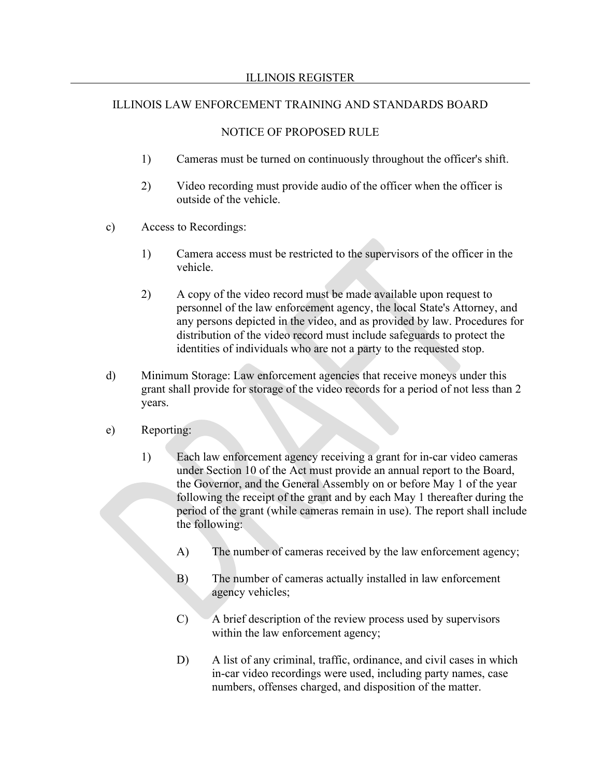# NOTICE OF PROPOSED RULE

- 1) Cameras must be turned on continuously throughout the officer's shift.
- 2) Video recording must provide audio of the officer when the officer is outside of the vehicle.
- c) Access to Recordings:
	- 1) Camera access must be restricted to the supervisors of the officer in the vehicle.
	- 2) A copy of the video record must be made available upon request to personnel of the law enforcement agency, the local State's Attorney, and any persons depicted in the video, and as provided by law. Procedures for distribution of the video record must include safeguards to protect the identities of individuals who are not a party to the requested stop.
- d) Minimum Storage: Law enforcement agencies that receive moneys under this grant shall provide for storage of the video records for a period of not less than 2 years.
- e) Reporting:
	- 1) Each law enforcement agency receiving a grant for in-car video cameras under Section 10 of the Act must provide an annual report to the Board, the Governor, and the General Assembly on or before May 1 of the year following the receipt of the grant and by each May 1 thereafter during the period of the grant (while cameras remain in use). The report shall include the following:
		- A) The number of cameras received by the law enforcement agency;
		- B) The number of cameras actually installed in law enforcement agency vehicles;
		- C) A brief description of the review process used by supervisors within the law enforcement agency;
		- D) A list of any criminal, traffic, ordinance, and civil cases in which in-car video recordings were used, including party names, case numbers, offenses charged, and disposition of the matter.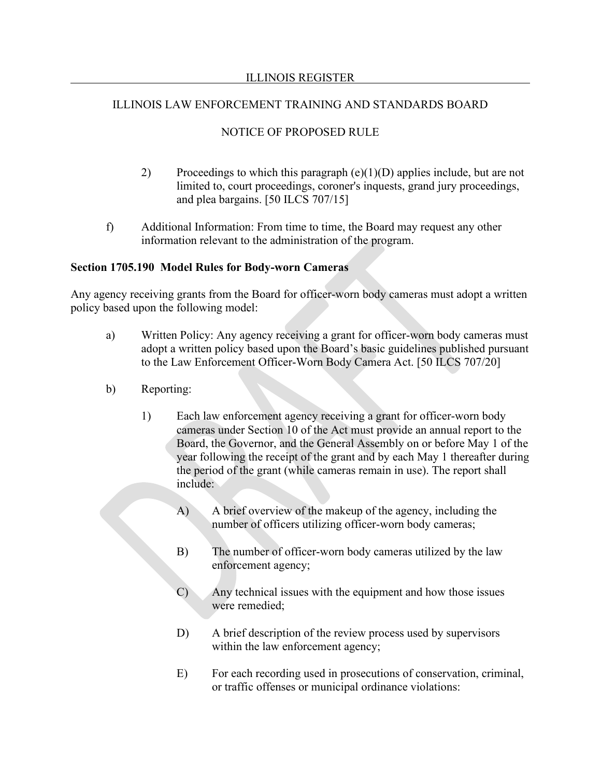# NOTICE OF PROPOSED RULE

- 2) Proceedings to which this paragraph  $(e)(1)(D)$  applies include, but are not limited to, court proceedings, coroner's inquests, grand jury proceedings, and plea bargains. [50 ILCS 707/15]
- f) Additional Information: From time to time, the Board may request any other information relevant to the administration of the program.

### **Section 1705.190 Model Rules for Body-worn Cameras**

Any agency receiving grants from the Board for officer-worn body cameras must adopt a written policy based upon the following model:

- a) Written Policy: Any agency receiving a grant for officer-worn body cameras must adopt a written policy based upon the Board's basic guidelines published pursuant to the Law Enforcement Officer-Worn Body Camera Act. [50 ILCS 707/20]
- b) Reporting:
	- 1) Each law enforcement agency receiving a grant for officer-worn body cameras under Section 10 of the Act must provide an annual report to the Board, the Governor, and the General Assembly on or before May 1 of the year following the receipt of the grant and by each May 1 thereafter during the period of the grant (while cameras remain in use). The report shall include:
		- A) A brief overview of the makeup of the agency, including the number of officers utilizing officer-worn body cameras;
		- B) The number of officer-worn body cameras utilized by the law enforcement agency;
		- C) Any technical issues with the equipment and how those issues were remedied;
		- D) A brief description of the review process used by supervisors within the law enforcement agency;
		- E) For each recording used in prosecutions of conservation, criminal, or traffic offenses or municipal ordinance violations: